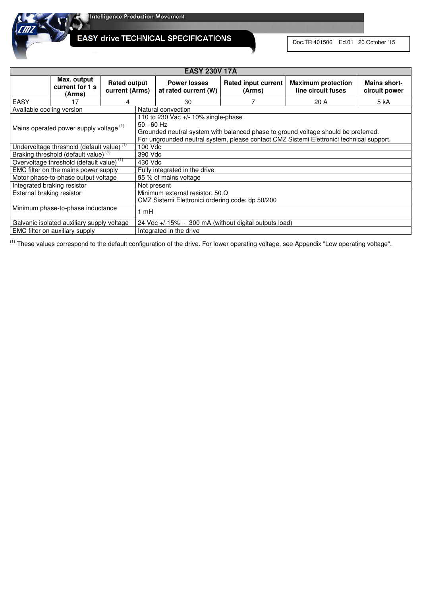

**EASY drive TECHNICAL SPECIFICATIONS** 

Doc.TR 401506 Ed.01 20 October '15

|                                   | <b>EASY 230V 17A</b>                                  |                                       |                                                                                                                                                                                                                                         |                                             |                                      |                                                 |                               |  |  |  |
|-----------------------------------|-------------------------------------------------------|---------------------------------------|-----------------------------------------------------------------------------------------------------------------------------------------------------------------------------------------------------------------------------------------|---------------------------------------------|--------------------------------------|-------------------------------------------------|-------------------------------|--|--|--|
|                                   | Max. output<br>current for 1 s<br>(Arms)              | <b>Rated output</b><br>current (Arms) |                                                                                                                                                                                                                                         | <b>Power losses</b><br>at rated current (W) | <b>Rated input current</b><br>(Arms) | <b>Maximum protection</b><br>line circuit fuses | Mains short-<br>circuit power |  |  |  |
| <b>EASY</b>                       | 17                                                    |                                       |                                                                                                                                                                                                                                         | 30                                          |                                      | 20 A                                            | 5 kA                          |  |  |  |
| Available cooling version         |                                                       |                                       |                                                                                                                                                                                                                                         | Natural convection                          |                                      |                                                 |                               |  |  |  |
|                                   | Mains operated power supply voltage (1)               |                                       | 110 to 230 Vac $+/-$ 10% single-phase<br>$50 - 60$ Hz<br>Grounded neutral system with balanced phase to ground voltage should be preferred.<br>For ungrounded neutral system, please contact CMZ Sistemi Elettronici technical support. |                                             |                                      |                                                 |                               |  |  |  |
|                                   | Undervoltage threshold (default value) <sup>(1)</sup> |                                       | 100 Vdc                                                                                                                                                                                                                                 |                                             |                                      |                                                 |                               |  |  |  |
|                                   | Braking threshold (default value) <sup>(1)</sup>      |                                       | 390 Vdc                                                                                                                                                                                                                                 |                                             |                                      |                                                 |                               |  |  |  |
|                                   | Overvoltage threshold (default value) <sup>(1)</sup>  |                                       | 430 Vdc                                                                                                                                                                                                                                 |                                             |                                      |                                                 |                               |  |  |  |
|                                   | EMC filter on the mains power supply                  |                                       | Fully integrated in the drive                                                                                                                                                                                                           |                                             |                                      |                                                 |                               |  |  |  |
|                                   | Motor phase-to-phase output voltage                   |                                       | 95 % of mains voltage                                                                                                                                                                                                                   |                                             |                                      |                                                 |                               |  |  |  |
| Integrated braking resistor       |                                                       |                                       | Not present                                                                                                                                                                                                                             |                                             |                                      |                                                 |                               |  |  |  |
| External braking resistor         |                                                       |                                       | Minimum external resistor: 50 $\Omega$<br>CMZ Sistemi Elettronici ordering code: dp 50/200                                                                                                                                              |                                             |                                      |                                                 |                               |  |  |  |
| Minimum phase-to-phase inductance |                                                       |                                       | 1 mH                                                                                                                                                                                                                                    |                                             |                                      |                                                 |                               |  |  |  |
|                                   | Galvanic isolated auxiliary supply voltage            |                                       | 24 Vdc +/-15% - 300 mA (without digital outputs load)                                                                                                                                                                                   |                                             |                                      |                                                 |                               |  |  |  |
| EMC filter on auxiliary supply    |                                                       |                                       |                                                                                                                                                                                                                                         | Integrated in the drive                     |                                      |                                                 |                               |  |  |  |

(1) These values correspond to the default configuration of the drive. For lower operating voltage, see Appendix "Low operating voltage".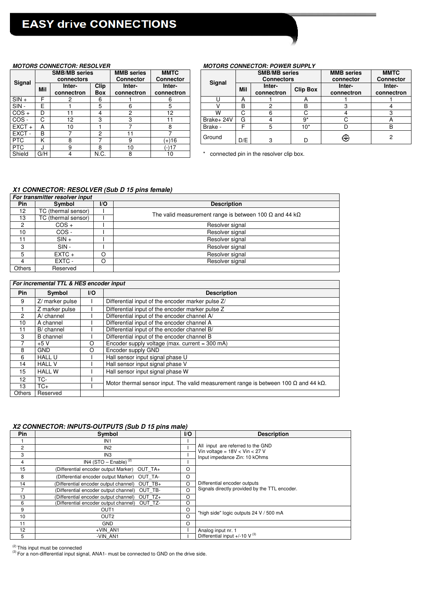|            |     |                                    |                           |                                       |                                 | ,,,,,,,,,          |
|------------|-----|------------------------------------|---------------------------|---------------------------------------|---------------------------------|--------------------|
|            |     | <b>SMB/MB series</b><br>connectors |                           | <b>MMB</b> series<br><b>Connector</b> | <b>MMTC</b><br><b>Connector</b> | Signal             |
| Signal     | Mil | Inter-<br>connectron               | <b>Clip</b><br><b>Box</b> | Inter-<br>connectron                  | Inter-<br>connectron            |                    |
| $SIN +$    | F   |                                    | 6                         |                                       | 6                               |                    |
| SIN-       | Е   |                                    | 5                         | 6                                     | 5                               |                    |
| $COS +$    | D   | 11                                 | 4                         | 2                                     | 12                              | w                  |
| COS-       | С   | 12                                 | 3                         | 3                                     |                                 | Brake+24           |
| $EXCT +$   | А   | 10                                 |                           |                                       | 8                               | Brake -            |
| EXCT-      | B   |                                    | 2                         | 11                                    |                                 | Ground             |
| <b>PTC</b> | κ   | 8                                  |                           | 9                                     | $(+)16$                         |                    |
| <b>PTC</b> | J.  | 9                                  | 8                         | 10                                    | 17-17                           |                    |
| Shield     | G/H |                                    | N.C.                      | 8                                     | 10                              | $^\star$<br>connec |

## MOTORS CONNECTOR: RESOLVER **MOTORS CONNECTOR: POWER SUPPLY**

|         |     | <b>SMB/MB series</b><br>connectors |                                                                                     | <b>MMB</b> series<br>Connector | <b>MMTC</b><br><b>Connector</b> |                      | <b>SMB/MB series</b><br><b>Connectors</b> |                      |                      | <b>MMB</b> series<br>connector | <b>MMTC</b><br><b>Connector</b> |
|---------|-----|------------------------------------|-------------------------------------------------------------------------------------|--------------------------------|---------------------------------|----------------------|-------------------------------------------|----------------------|----------------------|--------------------------------|---------------------------------|
| Signal  | Mil | Inter-<br>connectron               | Signal<br><b>Clip</b><br>Inter-<br>Inter-<br><b>Box</b><br>connectron<br>connectron |                                | Mil                             | Inter-<br>connectron | <b>Clip Box</b>                           | Inter-<br>connectron | Inter-<br>connectron |                                |                                 |
| $SIN +$ | ⊏   |                                    | 6                                                                                   |                                |                                 |                      | А                                         |                      |                      |                                |                                 |
| $SIN -$ | E   |                                    | 5                                                                                   |                                |                                 |                      | B                                         |                      | в                    |                                |                                 |
| COS +   | D   |                                    | 4                                                                                   |                                | 12                              | w                    | $\sim$                                    |                      |                      |                                |                                 |
| COS -   | C   | 12                                 | ◠<br>P                                                                              |                                |                                 | Brake+ 24V           | G                                         |                      | n*                   |                                |                                 |
| EXCT +  | A   | 10                                 |                                                                                     |                                |                                 | Brake -              |                                           |                      | $10*$                |                                |                                 |
| EXCT-   | B   |                                    | റ                                                                                   |                                |                                 | Ground               |                                           |                      |                      |                                |                                 |
| PTC.    |     |                                    |                                                                                     |                                | (+)16                           |                      | D/E                                       | c                    | D                    | ⊕                              |                                 |

 $*$  connected pin in the resolver clip box.

#### **X1 CONNECTOR: RESOLVER (Sub D 15 pins female)**

| For transmitter resolver input |                     |     |                                                                       |  |  |  |  |  |
|--------------------------------|---------------------|-----|-----------------------------------------------------------------------|--|--|--|--|--|
| <b>Pin</b>                     | Symbol              | I/O | <b>Description</b>                                                    |  |  |  |  |  |
| 12                             | TC (thermal sensor) |     | The valid measurement range is between 100 $\Omega$ and 44 k $\Omega$ |  |  |  |  |  |
| 13                             | TC (thermal sensor) |     |                                                                       |  |  |  |  |  |
| ◠                              | $COS +$             |     | Resolver signal                                                       |  |  |  |  |  |
| 10                             | COS-                |     | Resolver signal                                                       |  |  |  |  |  |
| 11                             | $SIN +$             |     | Resolver signal                                                       |  |  |  |  |  |
| 3                              | $SIN -$             |     | Resolver signal                                                       |  |  |  |  |  |
| 5                              | $EXTC +$            | റ   | Resolver signal                                                       |  |  |  |  |  |
|                                | EXTC -              |     | Resolver signal                                                       |  |  |  |  |  |
| <b>Others</b>                  | Reserved            |     |                                                                       |  |  |  |  |  |

### **For incremental TTL & HES encoder input**

| Pin               | Symbol           | I/O | <b>Description</b>                                                                                  |  |  |  |  |
|-------------------|------------------|-----|-----------------------------------------------------------------------------------------------------|--|--|--|--|
| 9                 | Z/ marker pulse  |     | Differential input of the encoder marker pulse Z/                                                   |  |  |  |  |
|                   | Z marker pulse   |     | Differential input of the encoder marker pulse Z                                                    |  |  |  |  |
| $\overline{2}$    | $A$ channel      |     | Differential input of the encoder channel A/                                                        |  |  |  |  |
| 10                | A channel        |     | Differential input of the encoder channel A                                                         |  |  |  |  |
| 11                | B/ channel       |     | Differential input of the encoder channel B/                                                        |  |  |  |  |
| 3                 | <b>B</b> channel |     | Differential input of the encoder channel B                                                         |  |  |  |  |
|                   | $+5V$            | O   | Encoder supply voltage (max. current = $300 \text{ mA}$ )                                           |  |  |  |  |
| 8                 | <b>GND</b>       | O   | Encoder supply GND                                                                                  |  |  |  |  |
| 6                 | <b>HALL U</b>    |     | Hall sensor input signal phase U                                                                    |  |  |  |  |
| 14                | <b>HALL V</b>    |     | Hall sensor input signal phase V                                                                    |  |  |  |  |
| 15                | <b>HALL W</b>    |     | Hall sensor input signal phase W                                                                    |  |  |  |  |
| $12 \overline{ }$ | TC-              |     | Motor thermal sensor input. The valid measurement range is between 100 $\Omega$ and 44 k $\Omega$ . |  |  |  |  |
| 13                | $TC+$            |     |                                                                                                     |  |  |  |  |
| <b>Others</b>     | Reserved         |     |                                                                                                     |  |  |  |  |

# **X2 CONNECTOR: INPUTS-OUTPUTS (Sub D 15 pins male)**

| Pin            | Symbol                                        | $\mathsf{I}/\mathsf{O}$ | <b>Description</b>                                                    |
|----------------|-----------------------------------------------|-------------------------|-----------------------------------------------------------------------|
|                | IN <sub>1</sub>                               |                         |                                                                       |
| $\overline{2}$ | IN <sub>2</sub>                               |                         | All input are referred to the GND<br>Vin voltage = $18V <$ Vin < 27 V |
| 3              | IN <sub>3</sub>                               |                         | Input impedance Zin: 10 kOhms                                         |
| 4              | IN4 (STO – Enable) <sup>(2)</sup>             |                         |                                                                       |
| 15             | (Differential encoder output Marker) OUT TA+  | O                       |                                                                       |
| 8              | (Differential encoder output Marker) OUT TA-  | O                       |                                                                       |
| 14             | (Differential encoder output channel) OUT TB+ | $\Omega$                | Differential encoder outputs                                          |
|                | (Differential encoder output channel) OUT TB- | $\Omega$                | Signals directly provided by the TTL encoder.                         |
| 13             | (Differential encoder output channel) OUT TZ+ | O                       |                                                                       |
| 6              | (Differential encoder output channel) OUT TZ- | O                       |                                                                       |
| 9              | OUT <sub>1</sub>                              | O                       | "high side" logic outputs 24 V / 500 mA                               |
| 10             | OUT <sub>2</sub>                              | $\Omega$                |                                                                       |
| 11             | <b>GND</b>                                    | O                       |                                                                       |
| 12             | +VIN AN1                                      |                         | Analog input nr. 1                                                    |
| 5              | -VIN AN1                                      |                         | Differential input +/-10 $V^{(3)}$                                    |

(2) This input must be connected

<sup>(3)</sup> For a non-differential input signal, ANA1- must be connected to GND on the drive side.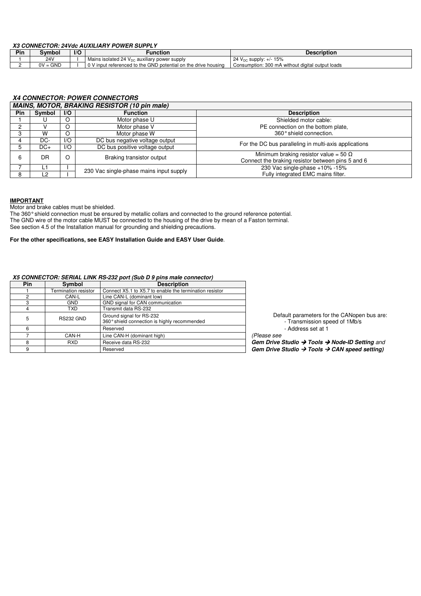#### **X3 CONNECTOR: 24Vdc AUXILIARY POWER SUPPLY**

| Pin | Symbol          | $\mathsf{I}/\mathsf{C}$ | Function                                                       | <b>Description</b>                               |  |  |  |  |  |  |
|-----|-----------------|-------------------------|----------------------------------------------------------------|--------------------------------------------------|--|--|--|--|--|--|
|     | 24 <sub>V</sub> |                         | Mains isolated 24 $V_{DC}$ auxiliary power supply              | 24 $V_{DC}$ supply: $+/- 15\%$                   |  |  |  |  |  |  |
|     | $0V = GND$      |                         | 0 V input referenced to the GND potential on the drive housing | Consumption: 300 mA without digital output loads |  |  |  |  |  |  |

#### **X4 CONNECTOR: POWER CONNECTORS**

|            | MAINS, MOTOR, BRAKING RESISTOR (10 pin male) |                         |                                         |                                                                                                   |  |  |  |  |  |  |
|------------|----------------------------------------------|-------------------------|-----------------------------------------|---------------------------------------------------------------------------------------------------|--|--|--|--|--|--|
| <b>Pin</b> | Symbol                                       | $\mathsf{I}/\mathsf{O}$ | <b>Function</b>                         | <b>Description</b>                                                                                |  |  |  |  |  |  |
|            |                                              |                         | Motor phase U                           | Shielded motor cable:                                                                             |  |  |  |  |  |  |
|            |                                              | $\circ$                 | Motor phase V                           | PE connection on the bottom plate,                                                                |  |  |  |  |  |  |
|            | w                                            | O                       | Motor phase W                           | 360° shield connection.                                                                           |  |  |  |  |  |  |
|            | DC-                                          | 1/O                     | DC bus negative voltage output          | For the DC bus paralleling in multi-axis applications                                             |  |  |  |  |  |  |
|            | $DC+$                                        | 1/O                     | DC bus positive voltage output          |                                                                                                   |  |  |  |  |  |  |
|            | DR                                           | $\circ$                 | Braking transistor output               | Minimum braking resistor value = 50 $\Omega$<br>Connect the braking resistor between pins 5 and 6 |  |  |  |  |  |  |
|            | L1                                           |                         | 230 Vac single-phase mains input supply | 230 Vac single-phase +10% -15%                                                                    |  |  |  |  |  |  |
| 8          | L2                                           |                         |                                         | Fully integrated EMC mains filter.                                                                |  |  |  |  |  |  |

#### **IMPORTANT**

Motor and brake cables must be shielded.

The 360° shield connection must be ensured by metallic collars and connected to the ground reference potential. The GND wire of the motor cable MUST be connected to the housing of the drive by mean of a Faston terminal. See section 4.5 of the Installation manual for grounding and shielding precautions.

#### **For the other specifications, see EASY Installation Guide and EASY User Guide**.

#### **X5 CONNECTOR: SERIAL LINK RS-232 port (Sub D 9 pins male connector)**

| <b>Pin</b> | Symbol               | <b>Description</b>                                                       |
|------------|----------------------|--------------------------------------------------------------------------|
|            | Termination resistor | Connect X5.1 to X5.7 to enable the termination resistor                  |
| ◠          | CAN-L                | Line CAN-L (dominant low)                                                |
| з          | GND                  | GND signal for CAN communication                                         |
|            | TXD                  | Transmit data RS-232                                                     |
| 5          | RS232 GND            | Ground signal for RS-232<br>360° shield connection is highly recommended |
| 6          |                      | Reserved                                                                 |
|            | CAN-H                | Line CAN-H (dominant high)                                               |
| 8          | <b>RXD</b>           | Receive data RS-232                                                      |
| 9          |                      | Reserved                                                                 |

 Default parameters for the CANopen bus are: - Transmission speed of 1Mb/s - Address set at 1

(Please see

Gem Drive Studio → Tools → Node-ID Setting and Gem Drive Studio → Tools → CAN speed setting)